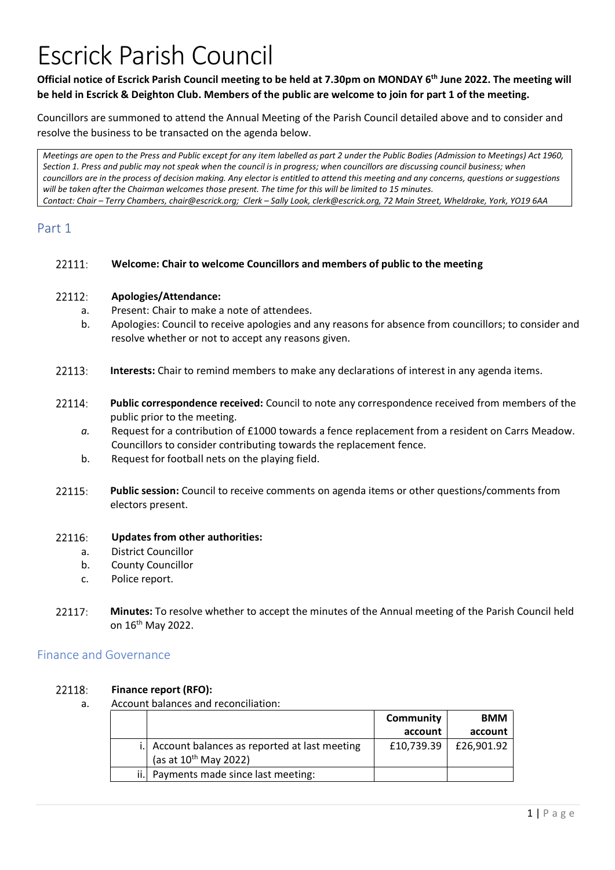# Escrick Parish Council

### **Official notice of Escrick Parish Council meeting to be held at 7.30pm on MONDAY 6th June 2022. The meeting will be held in Escrick & Deighton Club. Members of the public are welcome to join for part 1 of the meeting.**

Councillors are summoned to attend the Annual Meeting of the Parish Council detailed above and to consider and resolve the business to be transacted on the agenda below.

*Meetings are open to the Press and Public except for any item labelled as part 2 under the Public Bodies (Admission to Meetings) Act 1960, Section 1. Press and public may not speak when the council is in progress; when councillors are discussing council business; when councillors are in the process of decision making. Any elector is entitled to attend this meeting and any concerns, questions or suggestions will be taken after the Chairman welcomes those present. The time for this will be limited to 15 minutes. Contact: Chair – Terry Chambers, chair@escrick.org; Clerk – Sally Look, clerk@escrick.org, 72 Main Street, Wheldrake, York, YO19 6AA*

## Part 1

#### 22111: **Welcome: Chair to welcome Councillors and members of public to the meeting**

#### 22112: **Apologies/Attendance:**

- a. Present: Chair to make a note of attendees.
- b. Apologies: Council to receive apologies and any reasons for absence from councillors; to consider and resolve whether or not to accept any reasons given.
- 22113: **Interests:** Chair to remind members to make any declarations of interest in any agenda items.
- 22114: **Public correspondence received:** Council to note any correspondence received from members of the public prior to the meeting.
	- *a.* Request for a contribution of £1000 towards a fence replacement from a resident on Carrs Meadow. Councillors to consider contributing towards the replacement fence.
	- b. Request for football nets on the playing field.
- 22115: **Public session:** Council to receive comments on agenda items or other questions/comments from electors present.

#### 22116: **Updates from other authorities:**

- a. District Councillor
- b. County Councillor
- c. Police report.
- 22117 **Minutes:** To resolve whether to accept the minutes of the Annual meeting of the Parish Council held on 16th May 2022.

### Finance and Governance

#### 22118: **Finance report (RFO):**

a. Account balances and reconciliation:

|      |                                                                               | Community  | <b>BMM</b> |
|------|-------------------------------------------------------------------------------|------------|------------|
|      |                                                                               | account    | account    |
|      | i. Account balances as reported at last meeting<br>(as at $10^{th}$ May 2022) | £10,739.39 | £26,901.92 |
| ii.l | Payments made since last meeting:                                             |            |            |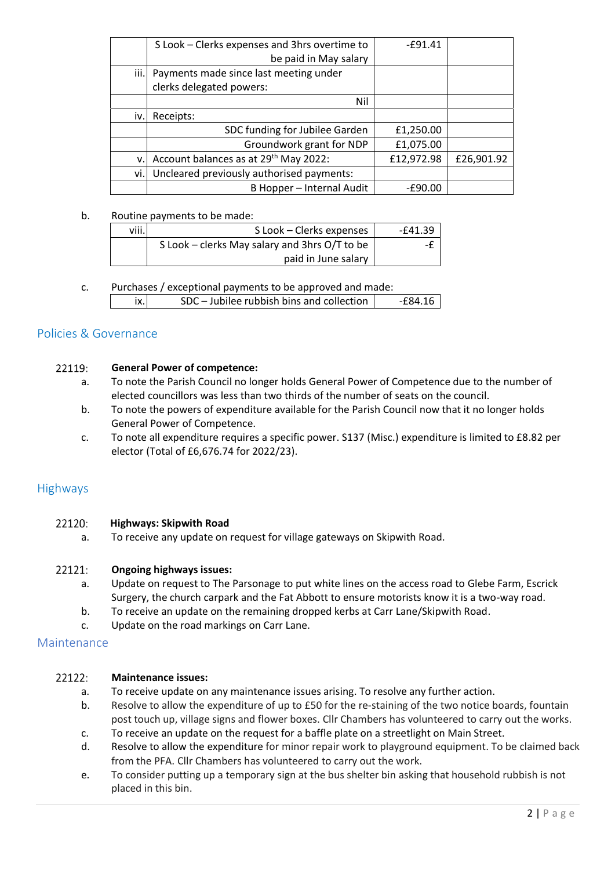|     | S Look - Clerks expenses and 3hrs overtime to     | $-£91.41$  |            |
|-----|---------------------------------------------------|------------|------------|
|     | be paid in May salary                             |            |            |
|     | iii. Payments made since last meeting under       |            |            |
|     | clerks delegated powers:                          |            |            |
|     | Nil                                               |            |            |
| iv. | Receipts:                                         |            |            |
|     | SDC funding for Jubilee Garden                    | £1,250.00  |            |
|     | Groundwork grant for NDP                          | £1,075.00  |            |
| v.  | Account balances as at 29 <sup>th</sup> May 2022: | £12,972.98 | £26,901.92 |
| vi. | Uncleared previously authorised payments:         |            |            |
|     | B Hopper - Internal Audit                         | $-£90.00$  |            |

### b. Routine payments to be made:

| viii. | S Look - Clerks expenses                      | $-641.39$ |
|-------|-----------------------------------------------|-----------|
|       | S Look – clerks May salary and 3hrs O/T to be |           |
|       | paid in June salary                           |           |

c. Purchases / exceptional payments to be approved and made: ix. SDC – Jubilee rubbish bins and collection  $\vert$  -£84.16

### Policies & Governance

#### 22119: **General Power of competence:**

- a. To note the Parish Council no longer holds General Power of Competence due to the number of elected councillors was less than two thirds of the number of seats on the council.
- b. To note the powers of expenditure available for the Parish Council now that it no longer holds General Power of Competence.
- c. To note all expenditure requires a specific power. S137 (Misc.) expenditure is limited to £8.82 per elector (Total of £6,676.74 for 2022/23).

### Highways

#### 22120: **Highways: Skipwith Road**

a. To receive any update on request for village gateways on Skipwith Road.

#### 22121: **Ongoing highways issues:**

- a. Update on request to The Parsonage to put white lines on the access road to Glebe Farm, Escrick Surgery, the church carpark and the Fat Abbott to ensure motorists know it is a two-way road.
- b. To receive an update on the remaining dropped kerbs at Carr Lane/Skipwith Road.
- c. Update on the road markings on Carr Lane.

### Maintenance

#### 22122: **Maintenance issues:**

- a. To receive update on any maintenance issues arising. To resolve any further action.
- b. Resolve to allow the expenditure of up to £50 for the re-staining of the two notice boards, fountain post touch up, village signs and flower boxes. Cllr Chambers has volunteered to carry out the works.
- c. To receive an update on the request for a baffle plate on a streetlight on Main Street.
- d. Resolve to allow the expenditure for minor repair work to playground equipment. To be claimed back from the PFA. Cllr Chambers has volunteered to carry out the work.
- e. To consider putting up a temporary sign at the bus shelter bin asking that household rubbish is not placed in this bin.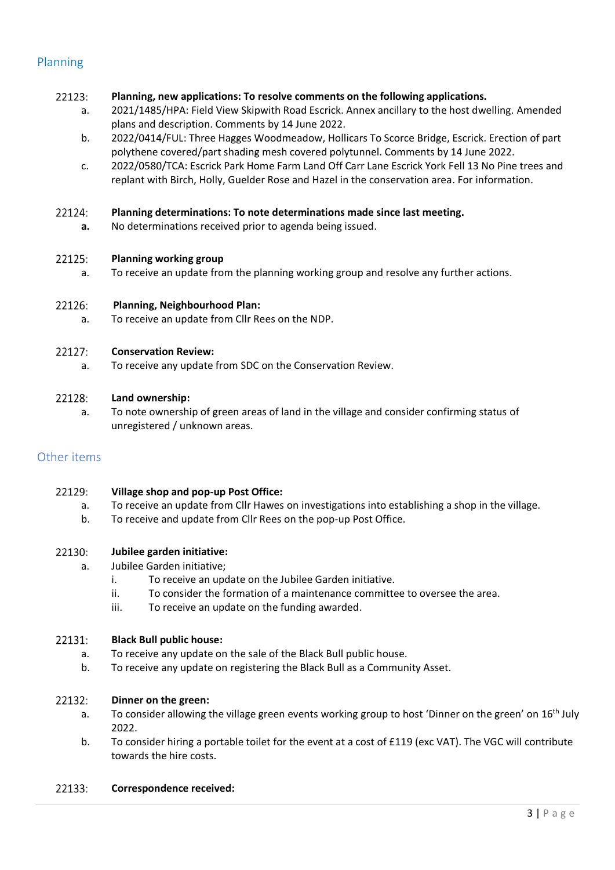### Planning

#### 22123: **Planning, new applications: To resolve comments on the following applications.**

- a. 2021/1485/HPA: Field View Skipwith Road Escrick. Annex ancillary to the host dwelling. Amended plans and description. Comments by 14 June 2022.
- b. 2022/0414/FUL: Three Hagges Woodmeadow, Hollicars To Scorce Bridge, Escrick. Erection of part polythene covered/part shading mesh covered polytunnel. Comments by 14 June 2022.
- c. 2022/0580/TCA: Escrick Park Home Farm Land Off Carr Lane Escrick York Fell 13 No Pine trees and replant with Birch, Holly, Guelder Rose and Hazel in the conservation area. For information.

#### 22124: **Planning determinations: To note determinations made since last meeting.**

**a.** No determinations received prior to agenda being issued.

#### 22125: **Planning working group**

a. To receive an update from the planning working group and resolve any further actions.

#### 22126: **Planning, Neighbourhood Plan:**

a. To receive an update from Cllr Rees on the NDP.

#### 22127: **Conservation Review:**

a. To receive any update from SDC on the Conservation Review.

#### 22128: **Land ownership:**

a. To note ownership of green areas of land in the village and consider confirming status of unregistered / unknown areas.

### Other items

#### 22129: **Village shop and pop-up Post Office:**

- a. To receive an update from Cllr Hawes on investigations into establishing a shop in the village.
- b. To receive and update from Cllr Rees on the pop-up Post Office.

#### 22130: **Jubilee garden initiative:**

- a. Jubilee Garden initiative;
	- i. To receive an update on the Jubilee Garden initiative.
	- ii. To consider the formation of a maintenance committee to oversee the area.
	- iii. To receive an update on the funding awarded.

#### 22131: **Black Bull public house:**

- a. To receive any update on the sale of the Black Bull public house.
- b. To receive any update on registering the Black Bull as a Community Asset.

#### 22132: **Dinner on the green:**

- a. To consider allowing the village green events working group to host 'Dinner on the green' on 16<sup>th</sup> July 2022.
- b. To consider hiring a portable toilet for the event at a cost of £119 (exc VAT). The VGC will contribute towards the hire costs.

#### 22133: **Correspondence received:**